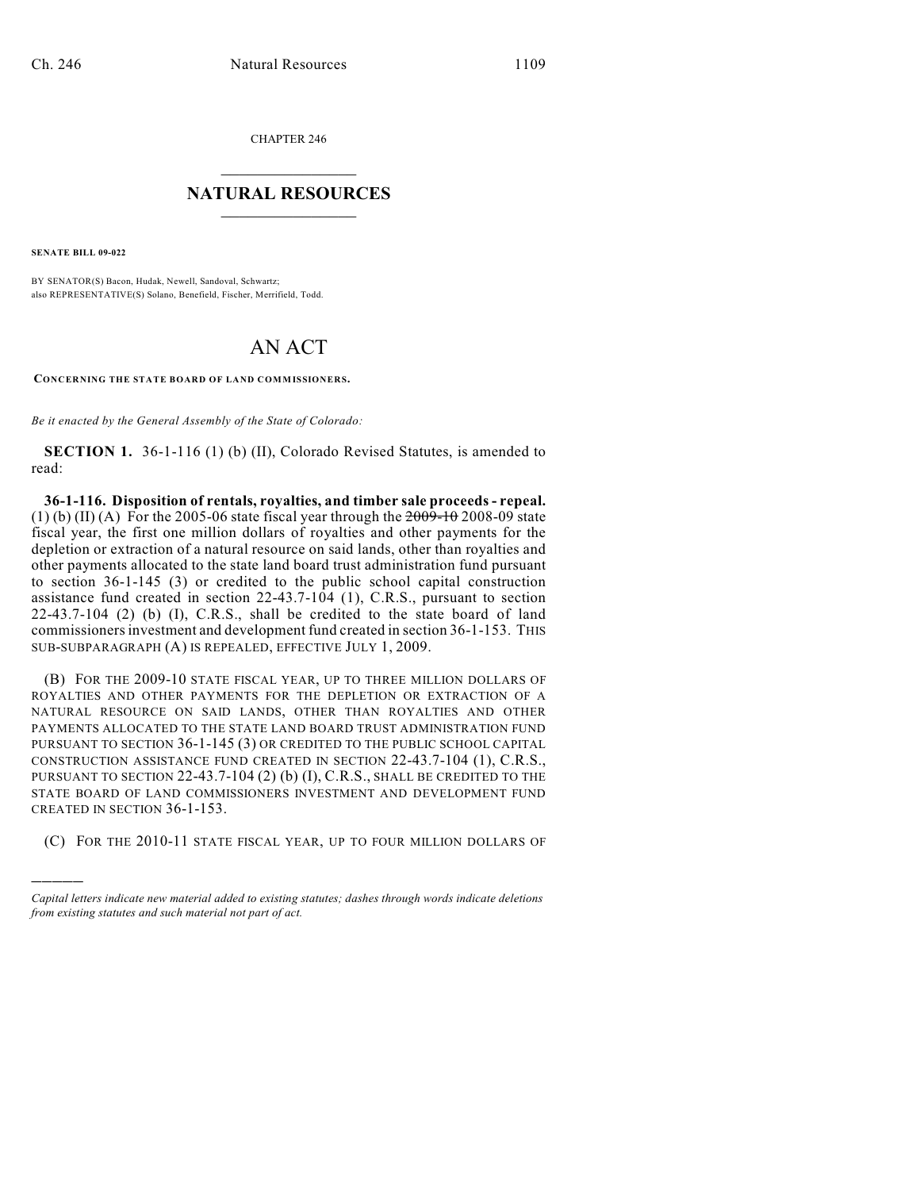CHAPTER 246

## $\mathcal{L}_\text{max}$  . The set of the set of the set of the set of the set of the set of the set of the set of the set of the set of the set of the set of the set of the set of the set of the set of the set of the set of the set **NATURAL RESOURCES**  $\frac{1}{\sqrt{2}}$  , where  $\frac{1}{\sqrt{2}}$  ,  $\frac{1}{\sqrt{2}}$  ,  $\frac{1}{\sqrt{2}}$

**SENATE BILL 09-022**

)))))

BY SENATOR(S) Bacon, Hudak, Newell, Sandoval, Schwartz; also REPRESENTATIVE(S) Solano, Benefield, Fischer, Merrifield, Todd.

## AN ACT

**CONCERNING THE STATE BOARD OF LAND COMMISSIONERS.**

*Be it enacted by the General Assembly of the State of Colorado:*

**SECTION 1.** 36-1-116 (1) (b) (II), Colorado Revised Statutes, is amended to read:

**36-1-116. Disposition of rentals, royalties, and timber sale proceeds - repeal.** (1) (b) (II) (A) For the 2005-06 state fiscal year through the  $2009-10$  2008-09 state fiscal year, the first one million dollars of royalties and other payments for the depletion or extraction of a natural resource on said lands, other than royalties and other payments allocated to the state land board trust administration fund pursuant to section 36-1-145 (3) or credited to the public school capital construction assistance fund created in section 22-43.7-104 (1), C.R.S., pursuant to section 22-43.7-104 (2) (b) (I), C.R.S., shall be credited to the state board of land commissioners investment and development fund created in section 36-1-153. THIS SUB-SUBPARAGRAPH (A) IS REPEALED, EFFECTIVE JULY 1, 2009.

(B) FOR THE 2009-10 STATE FISCAL YEAR, UP TO THREE MILLION DOLLARS OF ROYALTIES AND OTHER PAYMENTS FOR THE DEPLETION OR EXTRACTION OF A NATURAL RESOURCE ON SAID LANDS, OTHER THAN ROYALTIES AND OTHER PAYMENTS ALLOCATED TO THE STATE LAND BOARD TRUST ADMINISTRATION FUND PURSUANT TO SECTION 36-1-145 (3) OR CREDITED TO THE PUBLIC SCHOOL CAPITAL CONSTRUCTION ASSISTANCE FUND CREATED IN SECTION 22-43.7-104 (1), C.R.S., PURSUANT TO SECTION 22-43.7-104 (2) (b) (I), C.R.S., SHALL BE CREDITED TO THE STATE BOARD OF LAND COMMISSIONERS INVESTMENT AND DEVELOPMENT FUND CREATED IN SECTION 36-1-153.

(C) FOR THE 2010-11 STATE FISCAL YEAR, UP TO FOUR MILLION DOLLARS OF

*Capital letters indicate new material added to existing statutes; dashes through words indicate deletions from existing statutes and such material not part of act.*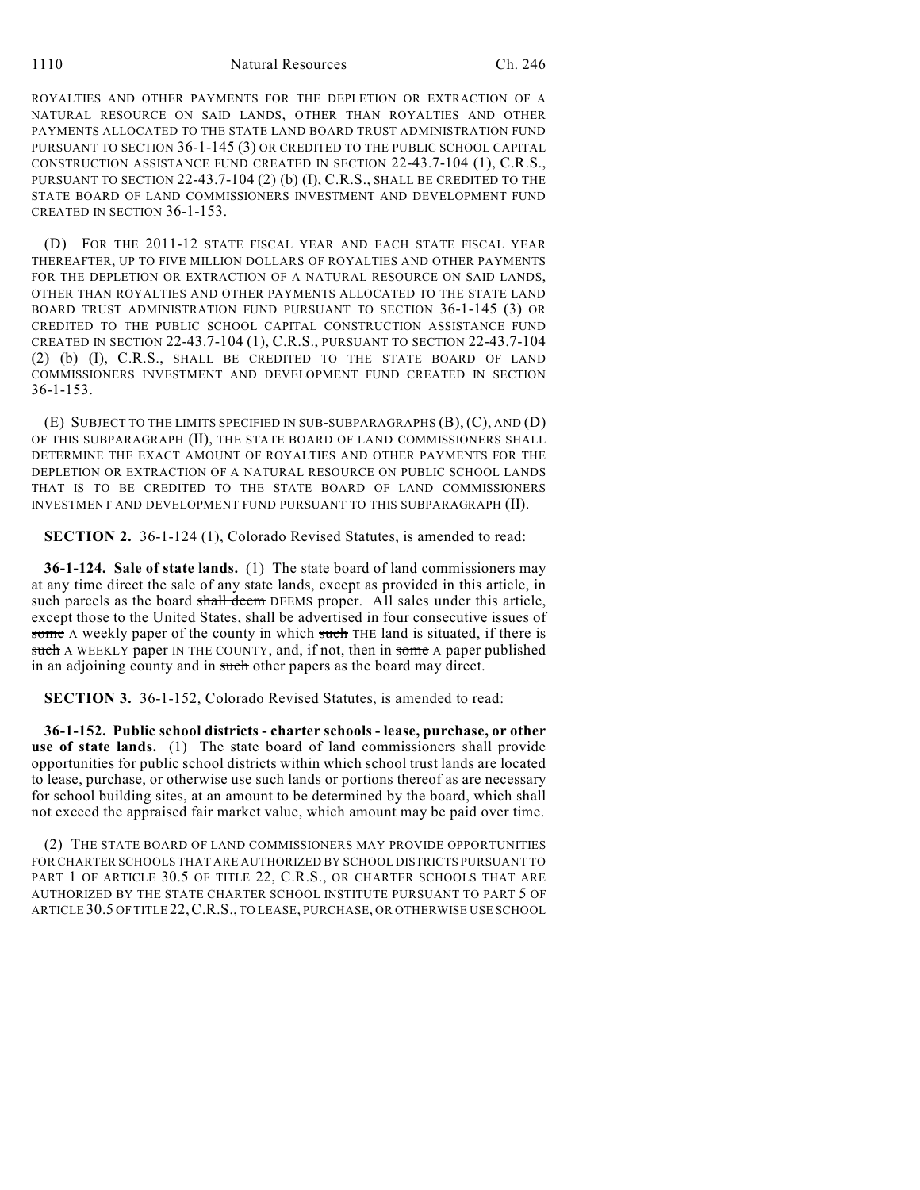ROYALTIES AND OTHER PAYMENTS FOR THE DEPLETION OR EXTRACTION OF A NATURAL RESOURCE ON SAID LANDS, OTHER THAN ROYALTIES AND OTHER PAYMENTS ALLOCATED TO THE STATE LAND BOARD TRUST ADMINISTRATION FUND PURSUANT TO SECTION 36-1-145 (3) OR CREDITED TO THE PUBLIC SCHOOL CAPITAL CONSTRUCTION ASSISTANCE FUND CREATED IN SECTION 22-43.7-104 (1), C.R.S., PURSUANT TO SECTION 22-43.7-104 (2) (b) (I), C.R.S., SHALL BE CREDITED TO THE STATE BOARD OF LAND COMMISSIONERS INVESTMENT AND DEVELOPMENT FUND CREATED IN SECTION 36-1-153.

(D) FOR THE 2011-12 STATE FISCAL YEAR AND EACH STATE FISCAL YEAR THEREAFTER, UP TO FIVE MILLION DOLLARS OF ROYALTIES AND OTHER PAYMENTS FOR THE DEPLETION OR EXTRACTION OF A NATURAL RESOURCE ON SAID LANDS, OTHER THAN ROYALTIES AND OTHER PAYMENTS ALLOCATED TO THE STATE LAND BOARD TRUST ADMINISTRATION FUND PURSUANT TO SECTION 36-1-145 (3) OR CREDITED TO THE PUBLIC SCHOOL CAPITAL CONSTRUCTION ASSISTANCE FUND CREATED IN SECTION 22-43.7-104 (1), C.R.S., PURSUANT TO SECTION 22-43.7-104 (2) (b) (I), C.R.S., SHALL BE CREDITED TO THE STATE BOARD OF LAND COMMISSIONERS INVESTMENT AND DEVELOPMENT FUND CREATED IN SECTION 36-1-153.

(E) SUBJECT TO THE LIMITS SPECIFIED IN SUB-SUBPARAGRAPHS (B), (C), AND (D) OF THIS SUBPARAGRAPH (II), THE STATE BOARD OF LAND COMMISSIONERS SHALL DETERMINE THE EXACT AMOUNT OF ROYALTIES AND OTHER PAYMENTS FOR THE DEPLETION OR EXTRACTION OF A NATURAL RESOURCE ON PUBLIC SCHOOL LANDS THAT IS TO BE CREDITED TO THE STATE BOARD OF LAND COMMISSIONERS INVESTMENT AND DEVELOPMENT FUND PURSUANT TO THIS SUBPARAGRAPH (II).

**SECTION 2.** 36-1-124 (1), Colorado Revised Statutes, is amended to read:

**36-1-124. Sale of state lands.** (1) The state board of land commissioners may at any time direct the sale of any state lands, except as provided in this article, in such parcels as the board shall deem DEEMS proper. All sales under this article, except those to the United States, shall be advertised in four consecutive issues of some A weekly paper of the county in which such THE land is situated, if there is such A WEEKLY paper IN THE COUNTY, and, if not, then in some A paper published in an adjoining county and in such other papers as the board may direct.

**SECTION 3.** 36-1-152, Colorado Revised Statutes, is amended to read:

**36-1-152. Public school districts - charter schools - lease, purchase, or other use of state lands.** (1) The state board of land commissioners shall provide opportunities for public school districts within which school trust lands are located to lease, purchase, or otherwise use such lands or portions thereof as are necessary for school building sites, at an amount to be determined by the board, which shall not exceed the appraised fair market value, which amount may be paid over time.

(2) THE STATE BOARD OF LAND COMMISSIONERS MAY PROVIDE OPPORTUNITIES FOR CHARTER SCHOOLS THAT ARE AUTHORIZED BY SCHOOL DISTRICTS PURSUANT TO PART 1 OF ARTICLE 30.5 OF TITLE 22, C.R.S., OR CHARTER SCHOOLS THAT ARE AUTHORIZED BY THE STATE CHARTER SCHOOL INSTITUTE PURSUANT TO PART 5 OF ARTICLE 30.5 OF TITLE 22,C.R.S., TO LEASE, PURCHASE, OR OTHERWISE USE SCHOOL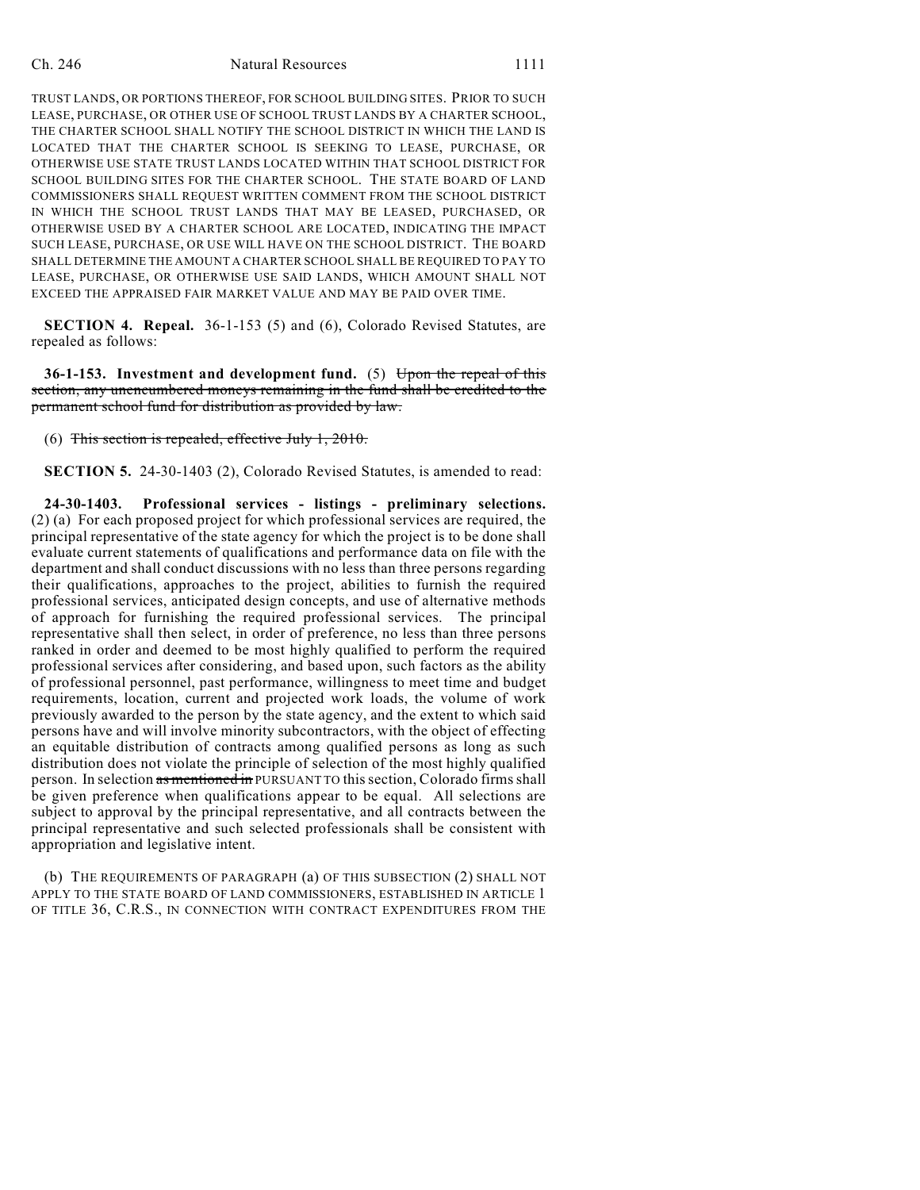## Ch. 246 Natural Resources 1111

TRUST LANDS, OR PORTIONS THEREOF, FOR SCHOOL BUILDING SITES. PRIOR TO SUCH LEASE, PURCHASE, OR OTHER USE OF SCHOOL TRUST LANDS BY A CHARTER SCHOOL, THE CHARTER SCHOOL SHALL NOTIFY THE SCHOOL DISTRICT IN WHICH THE LAND IS LOCATED THAT THE CHARTER SCHOOL IS SEEKING TO LEASE, PURCHASE, OR OTHERWISE USE STATE TRUST LANDS LOCATED WITHIN THAT SCHOOL DISTRICT FOR SCHOOL BUILDING SITES FOR THE CHARTER SCHOOL. THE STATE BOARD OF LAND COMMISSIONERS SHALL REQUEST WRITTEN COMMENT FROM THE SCHOOL DISTRICT IN WHICH THE SCHOOL TRUST LANDS THAT MAY BE LEASED, PURCHASED, OR OTHERWISE USED BY A CHARTER SCHOOL ARE LOCATED, INDICATING THE IMPACT SUCH LEASE, PURCHASE, OR USE WILL HAVE ON THE SCHOOL DISTRICT. THE BOARD SHALL DETERMINE THE AMOUNT A CHARTER SCHOOL SHALL BE REQUIRED TO PAY TO LEASE, PURCHASE, OR OTHERWISE USE SAID LANDS, WHICH AMOUNT SHALL NOT EXCEED THE APPRAISED FAIR MARKET VALUE AND MAY BE PAID OVER TIME.

**SECTION 4. Repeal.** 36-1-153 (5) and (6), Colorado Revised Statutes, are repealed as follows:

**36-1-153. Investment and development fund.** (5) Upon the repeal of this section, any unencumbered moneys remaining in the fund shall be credited to the permanent school fund for distribution as provided by law.

(6) This section is repealed, effective July  $1, 2010$ .

**SECTION 5.** 24-30-1403 (2), Colorado Revised Statutes, is amended to read:

**24-30-1403. Professional services - listings - preliminary selections.** (2) (a) For each proposed project for which professional services are required, the principal representative of the state agency for which the project is to be done shall evaluate current statements of qualifications and performance data on file with the department and shall conduct discussions with no less than three persons regarding their qualifications, approaches to the project, abilities to furnish the required professional services, anticipated design concepts, and use of alternative methods of approach for furnishing the required professional services. The principal representative shall then select, in order of preference, no less than three persons ranked in order and deemed to be most highly qualified to perform the required professional services after considering, and based upon, such factors as the ability of professional personnel, past performance, willingness to meet time and budget requirements, location, current and projected work loads, the volume of work previously awarded to the person by the state agency, and the extent to which said persons have and will involve minority subcontractors, with the object of effecting an equitable distribution of contracts among qualified persons as long as such distribution does not violate the principle of selection of the most highly qualified person. In selection as mentioned in PURSUANT TO this section, Colorado firms shall be given preference when qualifications appear to be equal. All selections are subject to approval by the principal representative, and all contracts between the principal representative and such selected professionals shall be consistent with appropriation and legislative intent.

(b) THE REQUIREMENTS OF PARAGRAPH (a) OF THIS SUBSECTION (2) SHALL NOT APPLY TO THE STATE BOARD OF LAND COMMISSIONERS, ESTABLISHED IN ARTICLE 1 OF TITLE 36, C.R.S., IN CONNECTION WITH CONTRACT EXPENDITURES FROM THE